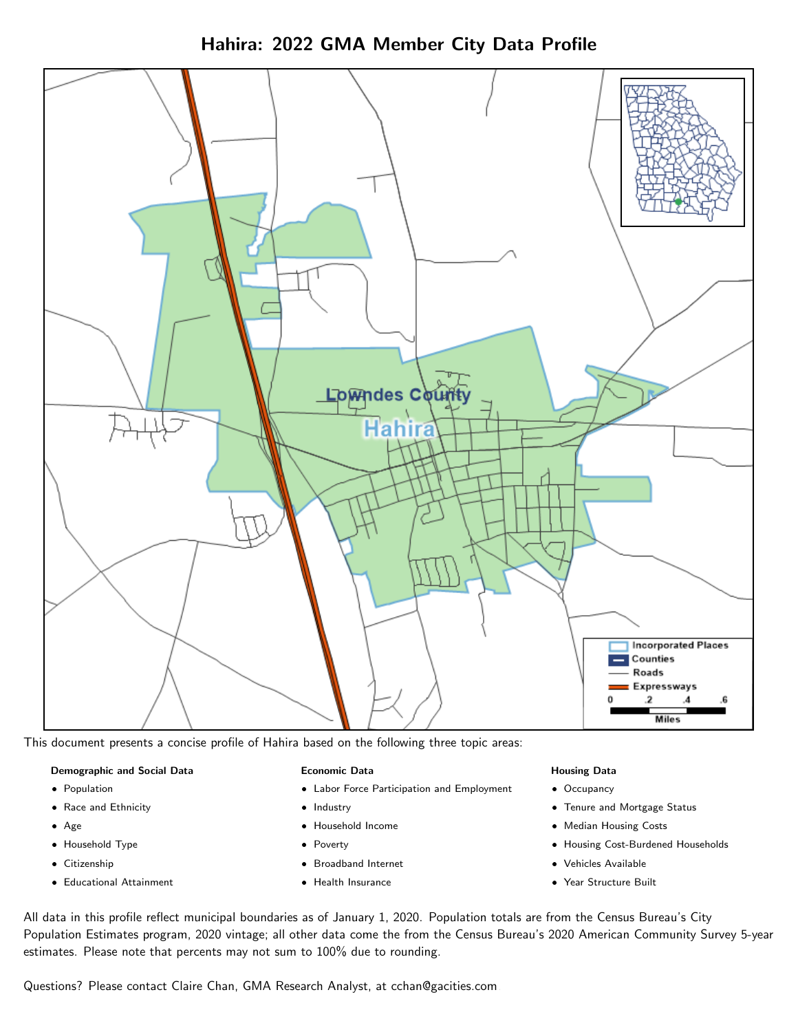



This document presents a concise profile of Hahira based on the following three topic areas:

#### Demographic and Social Data

- **•** Population
- Race and Ethnicity
- Age
- Household Type
- **Citizenship**
- Educational Attainment

#### Economic Data

- Labor Force Participation and Employment
- Industry
- Household Income
- Poverty
- Broadband Internet
- Health Insurance

#### Housing Data

- Occupancy
- Tenure and Mortgage Status
- Median Housing Costs
- Housing Cost-Burdened Households
- Vehicles Available
- Year Structure Built

All data in this profile reflect municipal boundaries as of January 1, 2020. Population totals are from the Census Bureau's City Population Estimates program, 2020 vintage; all other data come the from the Census Bureau's 2020 American Community Survey 5-year estimates. Please note that percents may not sum to 100% due to rounding.

Questions? Please contact Claire Chan, GMA Research Analyst, at [cchan@gacities.com.](mailto:cchan@gacities.com)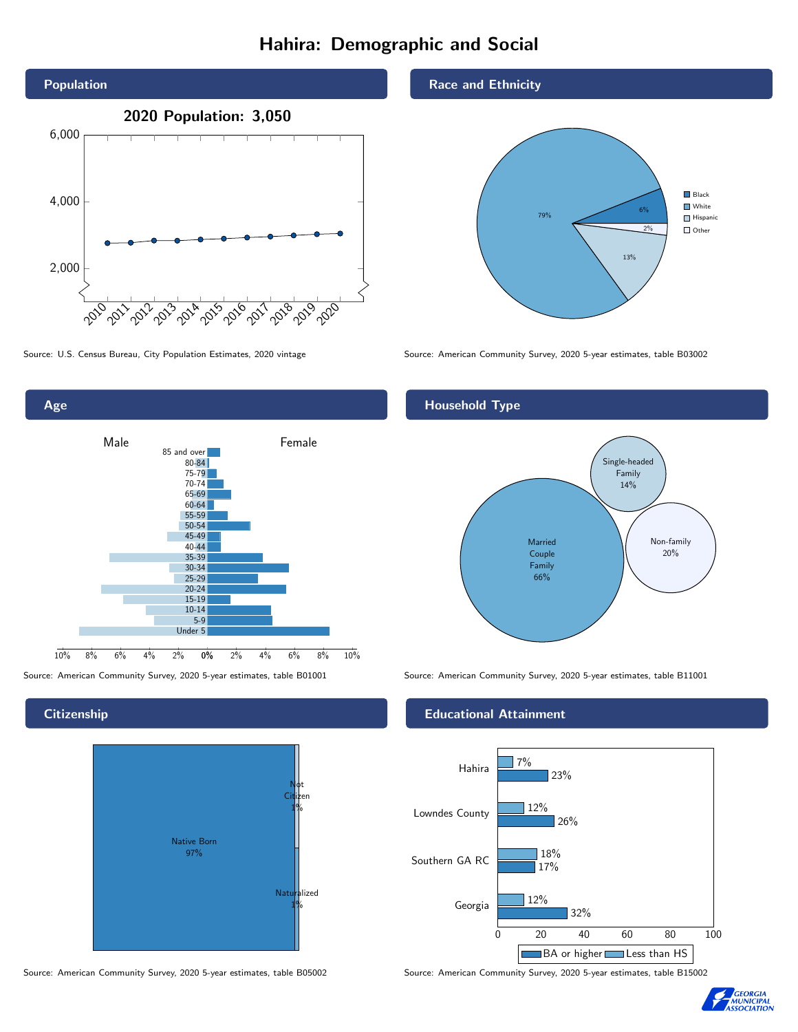# Hahira: Demographic and Social





## **Citizenship**



Source: American Community Survey, 2020 5-year estimates, table B05002 Source: American Community Survey, 2020 5-year estimates, table B15002

### Race and Ethnicity



Source: U.S. Census Bureau, City Population Estimates, 2020 vintage Source: American Community Survey, 2020 5-year estimates, table B03002

## Household Type



Source: American Community Survey, 2020 5-year estimates, table B01001 Source: American Community Survey, 2020 5-year estimates, table B11001

### Educational Attainment



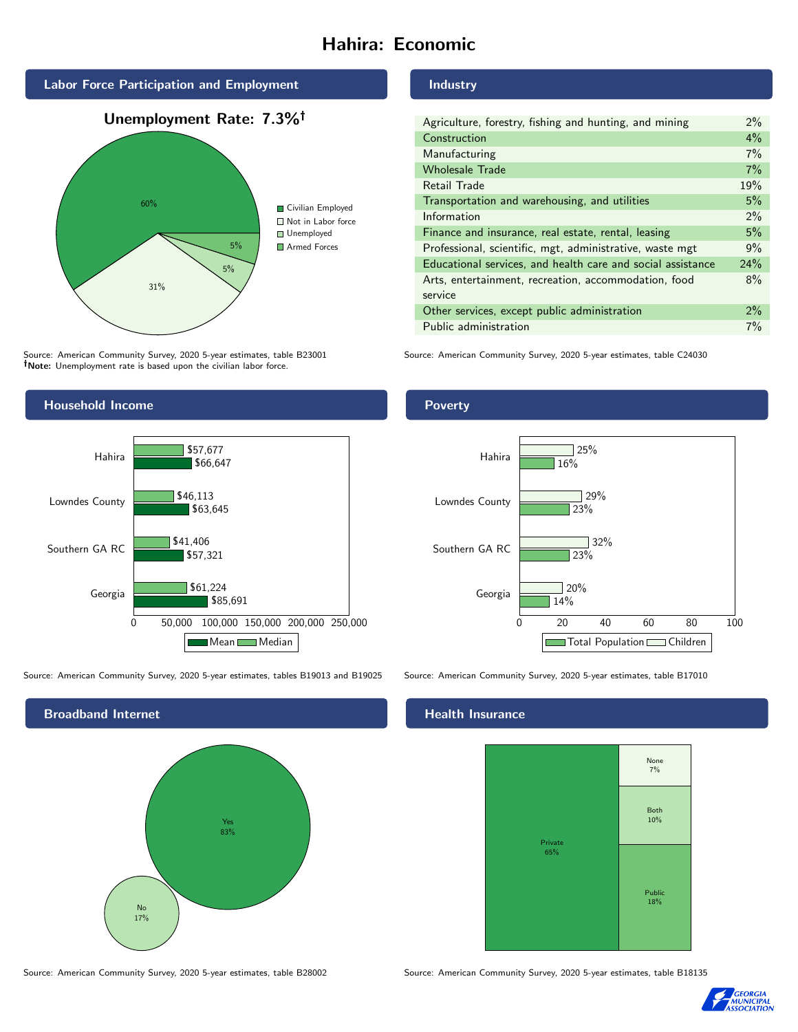# Hahira: Economic



Source: American Community Survey, 2020 5-year estimates, table B23001 Note: Unemployment rate is based upon the civilian labor force.

## Industry

| Agriculture, forestry, fishing and hunting, and mining      | $2\%$ |
|-------------------------------------------------------------|-------|
| Construction                                                | 4%    |
| Manufacturing                                               | 7%    |
| <b>Wholesale Trade</b>                                      | 7%    |
| Retail Trade                                                | 19%   |
| Transportation and warehousing, and utilities               | 5%    |
| Information                                                 | 2%    |
| Finance and insurance, real estate, rental, leasing         | 5%    |
| Professional, scientific, mgt, administrative, waste mgt    | 9%    |
| Educational services, and health care and social assistance | 24%   |
| Arts, entertainment, recreation, accommodation, food        | 8%    |
| service                                                     |       |
| Other services, except public administration                | $2\%$ |
| Public administration                                       | 7%    |

Source: American Community Survey, 2020 5-year estimates, table C24030



Source: American Community Survey, 2020 5-year estimates, tables B19013 and B19025 Source: American Community Survey, 2020 5-year estimates, table B17010



## Poverty



## **Health Insurance**



Source: American Community Survey, 2020 5-year estimates, table B28002 Source: American Community Survey, 2020 5-year estimates, table B18135